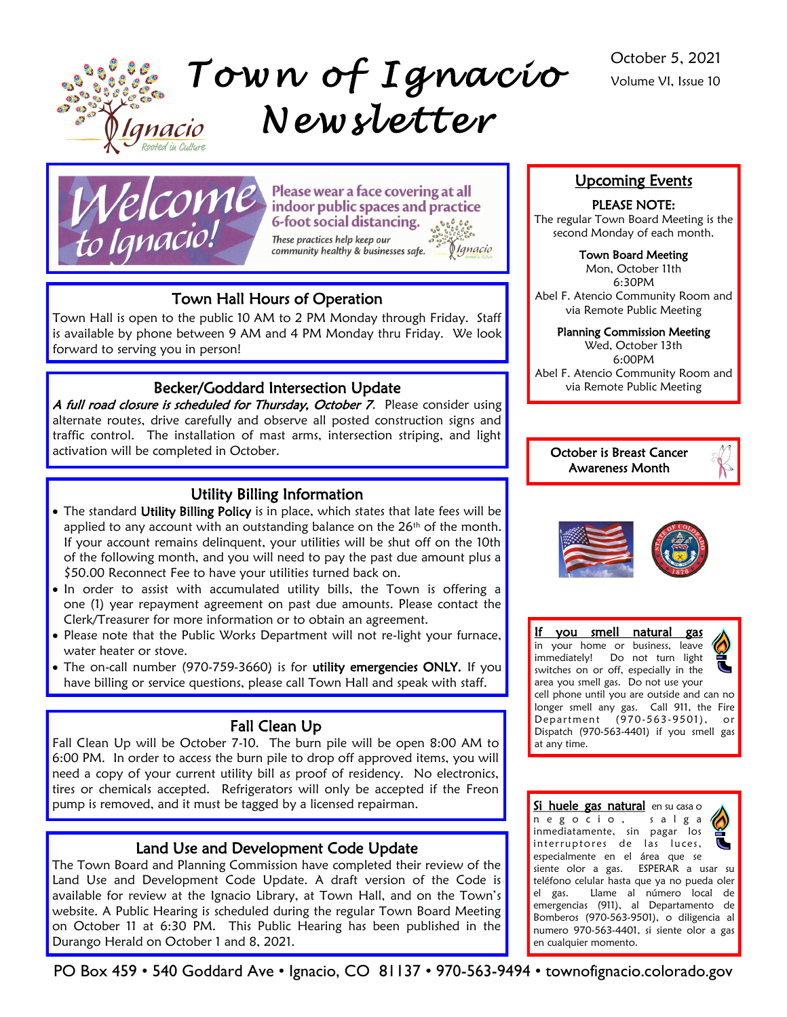

*T ow n o f I g n a c i o N e w s l e t t e r* 



Please wear a face covering at all indoor public spaces and practice **6-foot social distancing.** These practices help keep our community healthy & businesses safe.

# 0 Ignacio

# Town Hall Hours of Operation

Town Hall is open to the public 10 AM to 2 PM Monday through Friday. Staff is available by phone between 9 AM and 4 PM Monday thru Friday. We look forward to serving you in person!

# Becker/Goddard Intersection Update

A full road closure is scheduled for Thursday, October 7. Please consider using alternate routes, drive carefully and observe all posted construction signs and traffic control. The installation of mast arms, intersection striping, and light activation will be completed in October.

# Utility Billing Information

- The standard Utility Billing Policy is in place, which states that late fees will be applied to any account with an outstanding balance on the 26<sup>th</sup> of the month. If your account remains delinquent, your utilities will be shut off on the 10th of the following month, and you will need to pay the past due amount plus a \$50.00 Reconnect Fee to have your utilities turned back on.
- In order to assist with accumulated utility bills, the Town is offering a one (1) year repayment agreement on past due amounts. Please contact the Clerk/Treasurer for more information or to obtain an agreement.
- Please note that the Public Works Department will not re-light your furnace, water heater or stove.
- The on-call number (970-759-3660) is for utility emergencies ONLY. If you have billing or service questions, please call Town Hall and speak with staff.

# Fall Clean Up

Fall Clean Up will be October 7-10. The burn pile will be open 8:00 AM to 6:00 PM. In order to access the burn pile to drop off approved items, you will need a copy of your current utility bill as proof of residency. No electronics, tires or chemicals accepted. Refrigerators will only be accepted if the Freon pump is removed, and it must be tagged by a licensed repairman.

# Land Use and Development Code Update

The Town Board and Planning Commission have completed their review of the Land Use and Development Code Update. A draft version of the Code is available for review at the Ignacio Library, at Town Hall, and on the Town's website. A Public Hearing is scheduled during the regular Town Board Meeting on October 11 at 6:30 PM. This Public Hearing has been published in the Durango Herald on October 1 and 8, 2021.

## Upcoming Events

#### PLEASE NOTE:

The regular Town Board Meeting is the second Monday of each month.

#### Town Board Meeting

Mon, October 11th 6:30PM Abel F. Atencio Community Room and via Remote Public Meeting

#### Planning Commission Meeting

Wed, October 13th 6:00PM Abel F. Atencio Community Room and via Remote Public Meeting







If you smell natural gas in your home or business, leave immediately! Do not turn light switches on or off, especially in the area you smell gas. Do not use your cell phone until you are outside and can no longer smell any gas. Call 911, the Fire Department (970-563-9501), or Dispatch (970-563-4401) if you smell gas at any time.

Si huele gas natural en su casa o n e g o c i o , s a l g a inmediatamente, sin pagar los interruptores de las luces, especialmente en el área que se siente olor a gas. ESPERAR a usar su teléfono celular hasta que ya no pueda oler el gas. Llame al número local de emergencias (911), al Departamento de Bomberos (970-563-9501), o diligencia al numero 970-563-4401, si siente olor a gas en cualquier momento.